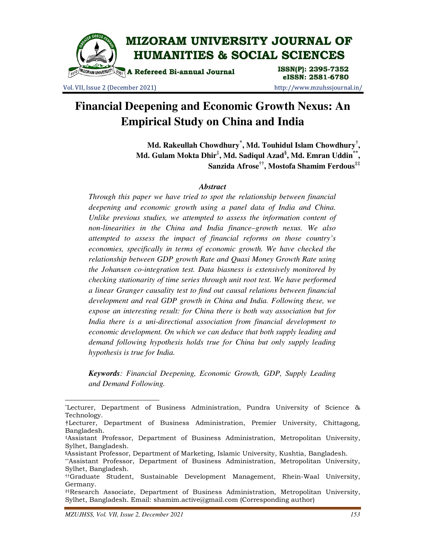

Vol. VII, Issue 2 (December 2021) http://www.mzuhssjournal.in/

# **Financial Deepening and Economic Growth Nexus: An Empirical Study on China and India**

**Md. Rakeullah Chowdhury\* , Md. Touhidul Islam Chowdhury† , Md. Gulam Mokta Dhir‡ , Md. Sadiqul Azad§ , Md. Emran Uddin\*\* , Sanzida Afrose††, Mostofa Shamim Ferdous‡‡**

# *Abstract*

*Through this paper we have tried to spot the relationship between financial deepening and economic growth using a panel data of India and China. Unlike previous studies, we attempted to assess the information content of non-linearities in the China and India finance–growth nexus. We also attempted to assess the impact of financial reforms on those country's economies, specifically in terms of economic growth. We have checked the relationship between GDP growth Rate and Quasi Money Growth Rate using the Johansen co-integration test. Data biasness is extensively monitored by checking stationarity of time series through unit root test. We have performed a linear Granger causality test to find out causal relations between financial development and real GDP growth in China and India. Following these, we expose an interesting result: for China there is both way association but for India there is a uni-directional association from financial development to economic development. On which we can deduce that both supply leading and demand following hypothesis holds true for China but only supply leading hypothesis is true for India.* 

*Keywords: Financial Deepening, Economic Growth, GDP, Supply Leading and Demand Following.* 

 $\overline{a}$ 

<sup>\*</sup>Lecturer, Department of Business Administration, Pundra University of Science & Technology.

<sup>†</sup>Lecturer, Department of Business Administration, Premier University, Chittagong, Bangladesh.

<sup>‡</sup>Assistant Professor, Department of Business Administration, Metropolitan University, Sylhet, Bangladesh.

<sup>§</sup>Assistant Professor, Department of Marketing, Islamic University, Kushtia, Bangladesh.

<sup>\*\*</sup>Assistant Professor, Department of Business Administration, Metropolitan University, Sylhet, Bangladesh.

<sup>††</sup>Graduate Student, Sustainable Development Management, Rhein-Waal University, Germany.

<sup>‡‡</sup>Research Associate, Department of Business Administration, Metropolitan University, Sylhet, Bangladesh. Email: shamim.active@gmail.com (Corresponding author)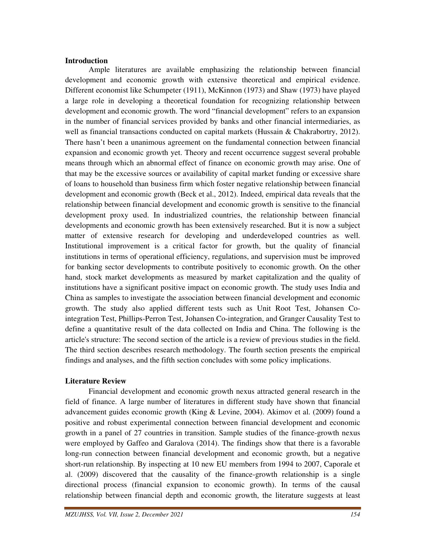### **Introduction**

 Ample literatures are available emphasizing the relationship between financial development and economic growth with extensive theoretical and empirical evidence. Different economist like Schumpeter (1911), McKinnon (1973) and Shaw (1973) have played a large role in developing a theoretical foundation for recognizing relationship between development and economic growth. The word "financial development" refers to an expansion in the number of financial services provided by banks and other financial intermediaries, as well as financial transactions conducted on capital markets (Hussain & Chakrabortry, 2012). There hasn't been a unanimous agreement on the fundamental connection between financial expansion and economic growth yet. Theory and recent occurrence suggest several probable means through which an abnormal effect of finance on economic growth may arise. One of that may be the excessive sources or availability of capital market funding or excessive share of loans to household than business firm which foster negative relationship between financial development and economic growth (Beck et al., 2012). Indeed, empirical data reveals that the relationship between financial development and economic growth is sensitive to the financial development proxy used. In industrialized countries, the relationship between financial developments and economic growth has been extensively researched. But it is now a subject matter of extensive research for developing and underdeveloped countries as well. Institutional improvement is a critical factor for growth, but the quality of financial institutions in terms of operational efficiency, regulations, and supervision must be improved for banking sector developments to contribute positively to economic growth. On the other hand, stock market developments as measured by market capitalization and the quality of institutions have a significant positive impact on economic growth. The study uses India and China as samples to investigate the association between financial development and economic growth. The study also applied different tests such as Unit Root Test, Johansen Cointegration Test, Phillips-Perron Test, Johansen Co-integration, and Granger Causality Test to define a quantitative result of the data collected on India and China. The following is the article's structure: The second section of the article is a review of previous studies in the field. The third section describes research methodology. The fourth section presents the empirical findings and analyses, and the fifth section concludes with some policy implications.

# **Literature Review**

 Financial development and economic growth nexus attracted general research in the field of finance. A large number of literatures in different study have shown that financial advancement guides economic growth (King & Levine, 2004). Akimov et al. (2009) found a positive and robust experimental connection between financial development and economic growth in a panel of 27 countries in transition. Sample studies of the finance-growth nexus were employed by Gaffeo and Garalova (2014). The findings show that there is a favorable long-run connection between financial development and economic growth, but a negative short-run relationship. By inspecting at 10 new EU members from 1994 to 2007, Caporale et al. (2009) discovered that the causality of the finance-growth relationship is a single directional process (financial expansion to economic growth). In terms of the causal relationship between financial depth and economic growth, the literature suggests at least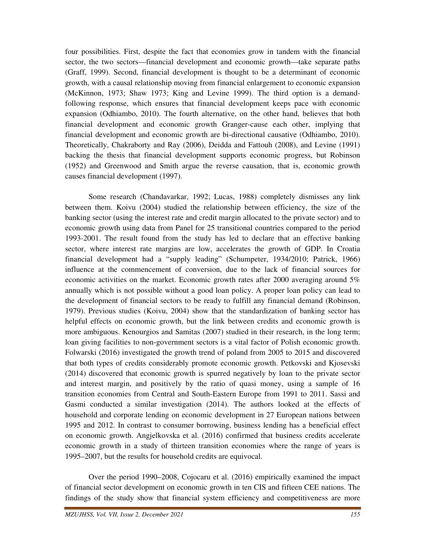four possibilities. First, despite the fact that economies grow in tandem with the financial sector, the two sectors—financial development and economic growth—take separate paths (Graff, 1999). Second, financial development is thought to be a determinant of economic growth, with a causal relationship moving from financial enlargement to economic expansion (McKinnon, 1973; Shaw 1973; King and Levine 1999). The third option is a demandfollowing response, which ensures that financial development keeps pace with economic expansion (Odhiambo, 2010). The fourth alternative, on the other hand, believes that both financial development and economic growth Granger-cause each other, implying that financial development and economic growth are bi-directional causative (Odhiambo, 2010). Theoretically, Chakraborty and Ray (2006), Deidda and Fattouh (2008), and Levine (1991) backing the thesis that financial development supports economic progress, but Robinson (1952) and Greenwood and Smith argue the reverse causation, that is, economic growth causes financial development (1997).

 Some research (Chandavarkar, 1992; Lucas, 1988) completely dismisses any link between them. Koivu (2004) studied the relationship between efficiency, the size of the banking sector (using the interest rate and credit margin allocated to the private sector) and to economic growth using data from Panel for 25 transitional countries compared to the period 1993-2001. The result found from the study has led to declare that an effective banking sector, where interest rate margins are low, accelerates the growth of GDP. In Croatia financial development had a "supply leading" (Schumpeter, 1934/2010; Patrick, 1966) influence at the commencement of conversion, due to the lack of financial sources for economic activities on the market. Economic growth rates after 2000 averaging around 5% annually which is not possible without a good loan policy. A proper loan policy can lead to the development of financial sectors to be ready to fulfill any financial demand (Robinson, 1979). Previous studies (Koivu, 2004) show that the standardization of banking sector has helpful effects on economic growth, but the link between credits and economic growth is more ambiguous. Kenourgios and Samitas (2007) studied in their research, in the long term; loan giving facilities to non-government sectors is a vital factor of Polish economic growth. Folwarski (2016) investigated the growth trend of poland from 2005 to 2015 and discovered that both types of credits considerably promote economic growth. Petkovski and Kjosevski (2014) discovered that economic growth is spurred negatively by loan to the private sector and interest margin, and positively by the ratio of quasi money, using a sample of 16 transition economies from Central and South-Eastern Europe from 1991 to 2011. Sassi and Gasmi conducted a similar investigation (2014). The authors looked at the effects of household and corporate lending on economic development in 27 European nations between 1995 and 2012. In contrast to consumer borrowing, business lending has a beneficial effect on economic growth. Angjelkovska et al. (2016) confirmed that business credits accelerate economic growth in a study of thirteen transition economies where the range of years is 1995–2007, but the results for household credits are equivocal.

 Over the period 1990–2008, Cojocaru et al. (2016) empirically examined the impact of financial sector development on economic growth in ten CIS and fifteen CEE nations. The findings of the study show that financial system efficiency and competitiveness are more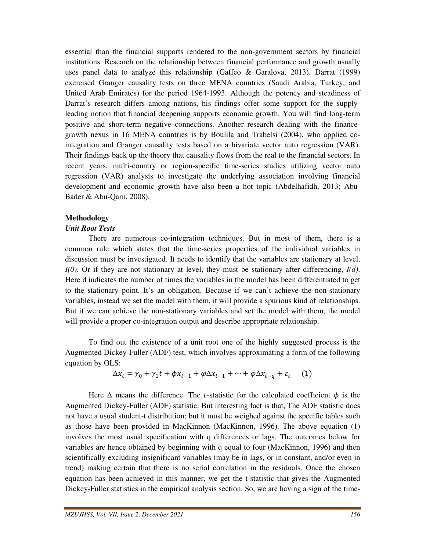essential than the financial supports rendered to the non-government sectors by financial institutions. Research on the relationship between financial performance and growth usually uses panel data to analyze this relationship (Gaffeo & Garalova, 2013). Darrat (1999) exercised Granger causality tests on three MENA countries (Saudi Arabia, Turkey, and United Arab Emirates) for the period 1964-1993. Although the potency and steadiness of Darrat's research differs among nations, his findings offer some support for the supplyleading notion that financial deepening supports economic growth. You will find long-term positive and short-term negative connections. Another research dealing with the financegrowth nexus in 16 MENA countries is by Boulila and Trabelsi (2004), who applied cointegration and Granger causality tests based on a bivariate vector auto regression (VAR). Their findings back up the theory that causality flows from the real to the financial sectors. In recent years, multi-country or region-specific time-series studies utilizing vector auto regression (VAR) analysis to investigate the underlying association involving financial development and economic growth have also been a hot topic (Abdelhafidh, 2013; Abu-Bader & Abu-Qarn, 2008).

## **Methodology**

### *Unit Root Tests*

 There are numerous co-integration techniques. But in most of them, there is a common rule which states that the time-series properties of the individual variables in discussion must be investigated. It needs to identify that the variables are stationary at level, *I(0)*. Or if they are not stationary at level, they must be stationary after differencing, *I(d)*. Here d indicates the number of times the variables in the model has been differentiated to get to the stationary point. It's an obligation. Because if we can't achieve the non-stationary variables, instead we set the model with them, it will provide a spurious kind of relationships. But if we can achieve the non-stationary variables and set the model with them, the model will provide a proper co-integration output and describe appropriate relationship.

 To find out the existence of a unit root one of the highly suggested process is the Augmented Dickey-Fuller (ADF) test, which involves approximating a form of the following equation by OLS:

$$
\Delta x_t = \gamma_0 + \gamma_1 t + \phi x_{t-1} + \phi \Delta x_{t-1} + \dots + \phi \Delta x_{t-q} + \varepsilon_t \tag{1}
$$

Here  $\Delta$  means the difference. The *t*-statistic for the calculated coefficient  $\phi$  is the Augmented Dickey-Fuller (ADF) statistic. But interesting fact is that, The ADF statistic does not have a usual student-t distribution; but it must be weighed against the specific tables such as those have been provided in MacKinnon (MacKinnon, 1996). The above equation (1) involves the most usual specification with q differences or lags. The outcomes below for variables are hence obtained by beginning with q equal to four (MacKinnon, 1996) and then scientifically excluding insignificant variables (may be in lags, or in constant, and/or even in trend) making certain that there is no serial correlation in the residuals. Once the chosen equation has been achieved in this manner, we get the t-statistic that gives the Augmented Dickey-Fuller statistics in the empirical analysis section. So, we are having a sign of the time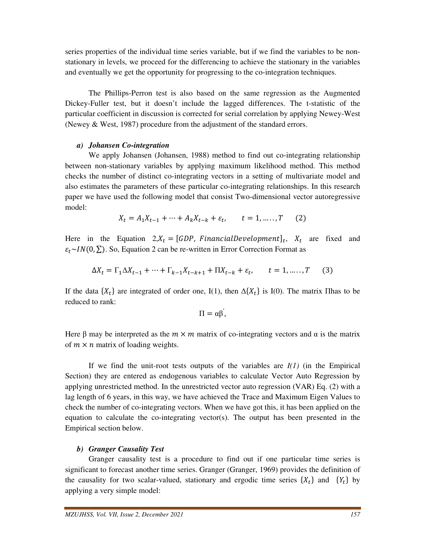series properties of the individual time series variable, but if we find the variables to be nonstationary in levels, we proceed for the differencing to achieve the stationary in the variables and eventually we get the opportunity for progressing to the co-integration techniques.

 The Phillips-Perron test is also based on the same regression as the Augmented Dickey-Fuller test, but it doesn't include the lagged differences. The t-statistic of the particular coefficient in discussion is corrected for serial correlation by applying Newey-West (Newey & West, 1987) procedure from the adjustment of the standard errors.

# *a) Johansen Co-integration*

 We apply Johansen (Johansen, 1988) method to find out co-integrating relationship between non-stationary variables by applying maximum likelihood method. This method checks the number of distinct co-integrating vectors in a setting of multivariate model and also estimates the parameters of these particular co-integrating relationships. In this research paper we have used the following model that consist Two-dimensional vector autoregressive model:

$$
X_t = A_1 X_{t-1} + \dots + A_k X_{t-k} + \varepsilon_t, \qquad t = 1, \dots, T \tag{2}
$$

Here in the Equation 2, $X_t = [GDP, FinancialDevelopment]_t$ ,  $X_t$  are fixed and  $\varepsilon_t \sim IN(0, \Sigma)$ . So, Equation 2 can be re-written in Error Correction Format as

$$
\Delta X_t = \Gamma_1 \Delta X_{t-1} + \dots + \Gamma_{k-1} X_{t-k+1} + \Pi X_{t-k} + \varepsilon_t, \qquad t = 1, \dots, T \tag{3}
$$

If the data  $\{X_t\}$  are integrated of order one, I(1), then  $\Delta\{X_t\}$  is I(0). The matrix II has to be reduced to rank:

$$
\Pi=\alpha\beta^{'},
$$

Here  $\beta$  may be interpreted as the  $m \times m$  matrix of co-integrating vectors and  $\alpha$  is the matrix of  $m \times n$  matrix of loading weights.

If we find the unit-root tests outputs of the variables are  $I(1)$  (in the Empirical Section) they are entered as endogenous variables to calculate Vector Auto Regression by applying unrestricted method. In the unrestricted vector auto regression (VAR) Eq. (2) with a lag length of 6 years, in this way, we have achieved the Trace and Maximum Eigen Values to check the number of co-integrating vectors. When we have got this, it has been applied on the equation to calculate the co-integrating vector(s). The output has been presented in the Empirical section below.

# *b) Granger Causality Test*

 Granger causality test is a procedure to find out if one particular time series is significant to forecast another time series. Granger (Granger, 1969) provides the definition of the causality for two scalar-valued, stationary and ergodic time series  $\{X_t\}$  and  $\{Y_t\}$  by applying a very simple model: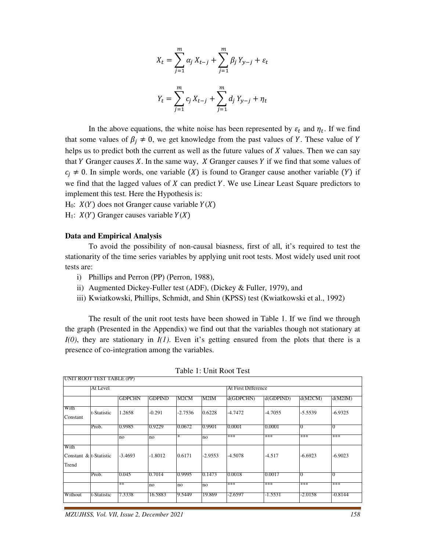$$
X_{t} = \sum_{j=1}^{m} \alpha_{j} X_{t-j} + \sum_{j=1}^{m} \beta_{j} Y_{y-j} + \varepsilon_{t}
$$

$$
Y_{t} = \sum_{j=1}^{m} c_{j} X_{t-j} + \sum_{j=1}^{m} d_{j} Y_{y-j} + \eta_{t}
$$

In the above equations, the white noise has been represented by  $\varepsilon_t$  and  $\eta_t$ . If we find that some values of  $\beta_i \neq 0$ , we get knowledge from the past values of Y. These value of Y helps us to predict both the current as well as the future values of  $X$  values. Then we can say that Y Granger causes  $X$ . In the same way,  $X$  Granger causes  $Y$  if we find that some values of  $c_i \neq 0$ . In simple words, one variable (X) is found to Granger cause another variable (Y) if we find that the lagged values of  $X$  can predict  $Y$ . We use Linear Least Square predictors to implement this test. Here the Hypothesis is:

 $H_0$ :  $X(Y)$  does not Granger cause variable  $Y(X)$ 

H<sub>1</sub>:  $X(Y)$  Granger causes variable  $Y(X)$ 

#### **Data and Empirical Analysis**

UNIT ROOT TEST TABLE (PP)

 To avoid the possibility of non-causal biasness, first of all, it's required to test the stationarity of the time series variables by applying unit root tests. Most widely used unit root tests are:

- i) Phillips and Perron (PP) (Perron, 1988),
- ii) Augmented Dickey-Fuller test (ADF), (Dickey & Fuller, 1979), and
- iii) Kwiatkowski, Phillips, Schmidt, and Shin (KPSS) test (Kwiatkowski et al., 1992)

 The result of the unit root tests have been showed in Table 1. If we find we through the graph (Presented in the Appendix) we find out that the variables though not stationary at *I(0)*, they are stationary in *I(1)*. Even it's getting ensured from the plots that there is a presence of co-integration among the variables.

|                                         | At Level    |               |               |           | At First Difference |           |           |           |           |
|-----------------------------------------|-------------|---------------|---------------|-----------|---------------------|-----------|-----------|-----------|-----------|
|                                         |             | <b>GDPCHN</b> | <b>GDPIND</b> | M2CM      | M2IM                | d(GDPCHN) | d(GDPIND) | d(M2CM)   | d(M2IM)   |
| With<br>Constant                        | t-Statistic | 1.2658        | $-0.291$      | $-2.7536$ | 0.6228              | $-4.7472$ | $-4.7055$ | $-5.5539$ | $-6.9325$ |
|                                         | Prob.       | 0.9985        | 0.9229        | 0.0672    | 0.9901              | 0.0001    | 0.0001    |           |           |
|                                         |             | no            | no            | $\ast$    | no                  | ***       | ***       | ***       | ***       |
| With<br>Constant & t-Statistic<br>Trend |             | $-3.4693$     | $-1.8012$     | 0.6171    | $-2.9553$           | $-4.5078$ | $-4.517$  | $-6.6923$ | $-6.9023$ |
|                                         | Prob.       | 0.045         | 0.7014        | 10.9995   | 0.1473              | 0.0018    | 0.0017    | Ю         | $\Omega$  |
|                                         |             | **            | no            | no        | no                  | ***       | ***       | ***       | ***       |
| Without                                 | t-Statistic | 7.3338        | 16.5883       | 19.5449   | 19.869              | -2.6597   | $-1.5531$ | -2.0158   | $-0.8144$ |

Table 1: Unit Root Test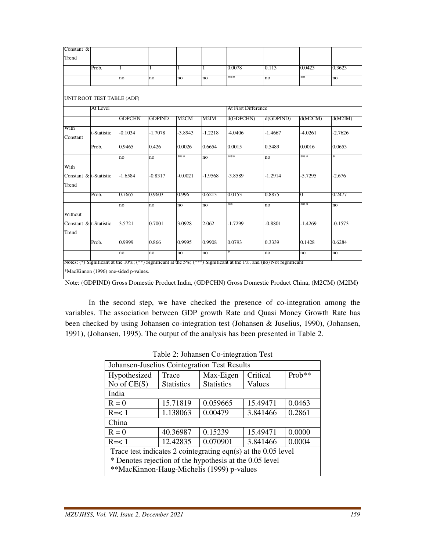| Constant &             |             |                            |               |           |           |                     |           |                |           |
|------------------------|-------------|----------------------------|---------------|-----------|-----------|---------------------|-----------|----------------|-----------|
| Trend                  |             |                            |               |           |           |                     |           |                |           |
|                        | Prob.       | 1                          | 1             | 1         | 1         | 0.0078              | 0.113     | 0.0423         | 0.3623    |
|                        |             | no                         | no            | no        | no        | ***                 | no        | **             | no        |
|                        |             |                            |               |           |           |                     |           |                |           |
|                        |             | UNIT ROOT TEST TABLE (ADF) |               |           |           |                     |           |                |           |
|                        | At Level    |                            |               |           |           | At First Difference |           |                |           |
|                        |             | <b>GDPCHN</b>              | <b>GDPIND</b> | M2CM      | M2IM      | d(GDPCHN)           | d(GDPIND) | d(M2CM)        | d(M2IM)   |
| With<br>Constant       | t-Statistic | $-0.1034$                  | $-1.7078$     | $-3.8943$ | $-1.2218$ | $-4.0406$           | $-1.4667$ | $-4.0261$      | $-2.7626$ |
|                        | Prob.       | 0.9465                     | 0.426         | 0.0026    | 0.6654    | 0.0015              | 0.5489    | 0.0016         | 0.0653    |
|                        |             | no                         | no            | ***       | no        | ***                 | no        | ***            | $\ast$    |
| With                   |             |                            |               |           |           |                     |           |                |           |
| Constant & t-Statistic |             | $-1.6584$                  | $-0.8317$     | $-0.0021$ | $-1.9568$ | $-3.8589$           | $-1.2914$ | $-5.7295$      | $-2.676$  |
| Trend                  |             |                            |               |           |           |                     |           |                |           |
|                        | Prob.       | 0.7665                     | 0.9603        | 0.996     | 0.6213    | 0.0153              | 0.8875    | $\overline{0}$ | 0.2477    |
|                        |             | no                         | no            | no        | no        | **                  | no        | ***            | no        |
| Without                |             |                            |               |           |           |                     |           |                |           |
| Constant & t-Statistic |             | 3.5721                     | 0.7001        | 3.0928    | 2.062     | $-1.7299$           | $-0.8801$ | $-1.4269$      | $-0.1573$ |
| Trend                  |             |                            |               |           |           |                     |           |                |           |
|                        | Prob.       | 0.9999                     | 0.866         | 0.9995    | 0.9908    | 0.0793              | 0.3339    | 0.1428         | 0.6284    |
|                        |             |                            |               |           |           |                     |           |                |           |

Note: (GDPIND) Gross Domestic Product India, (GDPCHN) Gross Domestic Product China, (M2CM) (M2IM)

 In the second step, we have checked the presence of co-integration among the variables. The association between GDP growth Rate and Quasi Money Growth Rate has been checked by using Johansen co-integration test (Johansen & Juselius, 1990), (Johansen, 1991), (Johansen, 1995). The output of the analysis has been presented in Table 2.

| raone 2. Johansen Co-musclation Test                            |                                          |                   |          |        |  |  |  |
|-----------------------------------------------------------------|------------------------------------------|-------------------|----------|--------|--|--|--|
| Johansen-Juselius Cointegration Test Results                    |                                          |                   |          |        |  |  |  |
| Hypothesized                                                    | Max-Eigen<br>Critical<br>Prob**<br>Trace |                   |          |        |  |  |  |
| No of $CE(S)$                                                   | <b>Statistics</b>                        | <b>Statistics</b> | Values   |        |  |  |  |
| India                                                           |                                          |                   |          |        |  |  |  |
| $R = 0$                                                         | 15.71819                                 | 0.059665          | 15.49471 | 0.0463 |  |  |  |
| $R = < 1$                                                       | 1.138063                                 | 0.00479           | 3.841466 | 0.2861 |  |  |  |
| China                                                           |                                          |                   |          |        |  |  |  |
| 0.15239<br>0.0000<br>40.36987<br>15.49471<br>$R = 0$            |                                          |                   |          |        |  |  |  |
| 0.070901<br>0.0004<br>12.42835<br>3.841466<br>$R = < 1$         |                                          |                   |          |        |  |  |  |
| Trace test indicates 2 cointegrating eqn(s) at the $0.05$ level |                                          |                   |          |        |  |  |  |
| * Denotes rejection of the hypothesis at the 0.05 level         |                                          |                   |          |        |  |  |  |
| **MacKinnon-Haug-Michelis (1999) p-values                       |                                          |                   |          |        |  |  |  |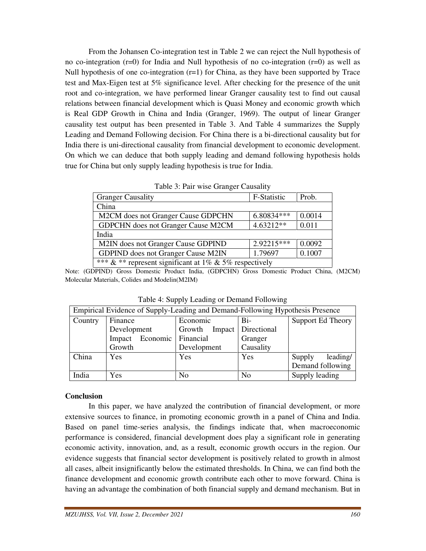From the Johansen Co-integration test in Table 2 we can reject the Null hypothesis of no co-integration  $(r=0)$  for India and Null hypothesis of no co-integration  $(r=0)$  as well as Null hypothesis of one co-integration  $(r=1)$  for China, as they have been supported by Trace test and Max-Eigen test at 5% significance level. After checking for the presence of the unit root and co-integration, we have performed linear Granger causality test to find out causal relations between financial development which is Quasi Money and economic growth which is Real GDP Growth in China and India (Granger, 1969). The output of linear Granger causality test output has been presented in Table 3. And Table 4 summarizes the Supply Leading and Demand Following decision. For China there is a bi-directional causality but for India there is uni-directional causality from financial development to economic development. On which we can deduce that both supply leading and demand following hypothesis holds true for China but only supply leading hypothesis is true for India.

| Table 5. I all wise Grafiger Causality                 |             |        |  |  |  |
|--------------------------------------------------------|-------------|--------|--|--|--|
| <b>Granger Causality</b>                               | F-Statistic | Prob.  |  |  |  |
| China                                                  |             |        |  |  |  |
| M2CM does not Granger Cause GDPCHN                     | 6.80834***  | 0.0014 |  |  |  |
| GDPCHN does not Granger Cause M2CM                     | $4.63212**$ | 0.011  |  |  |  |
| India                                                  |             |        |  |  |  |
| M2IN does not Granger Cause GDPIND                     | 2.92215***  | 0.0092 |  |  |  |
| GDPIND does not Granger Cause M2IN                     | 1.79697     | 0.1007 |  |  |  |
| *** & ** represent significant at 1% & 5% respectively |             |        |  |  |  |

Table 3: Pair wise Granger Causality

Note: (GDPIND) Gross Domestic Product India, (GDPCHN) Gross Domestic Product China, (M2CM) Molecular Materials, Colides and Modelin(M2IM)

| Empirical Evidence of Supply-Leading and Demand-Following Hypothesis Presence |                    |                           |                |                    |  |  |  |
|-------------------------------------------------------------------------------|--------------------|---------------------------|----------------|--------------------|--|--|--|
| Country                                                                       | Finance            | Economic                  | Bi-            | Support Ed Theory  |  |  |  |
|                                                                               | Development        | Growth Impact Directional |                |                    |  |  |  |
|                                                                               | Economic<br>Impact | Financial                 | Granger        |                    |  |  |  |
|                                                                               | Growth             | Development               | Causality      |                    |  |  |  |
| China                                                                         | <b>Yes</b>         | Yes                       | Yes            | leading/<br>Supply |  |  |  |
|                                                                               |                    |                           |                | Demand following   |  |  |  |
| India                                                                         | Yes                | N <sub>0</sub>            | N <sub>0</sub> | Supply leading     |  |  |  |

Table 4: Supply Leading or Demand Following

#### **Conclusion**

 In this paper, we have analyzed the contribution of financial development, or more extensive sources to finance, in promoting economic growth in a panel of China and India. Based on panel time-series analysis, the findings indicate that, when macroeconomic performance is considered, financial development does play a significant role in generating economic activity, innovation, and, as a result, economic growth occurs in the region. Our evidence suggests that financial sector development is positively related to growth in almost all cases, albeit insignificantly below the estimated thresholds. In China, we can find both the finance development and economic growth contribute each other to move forward. China is having an advantage the combination of both financial supply and demand mechanism. But in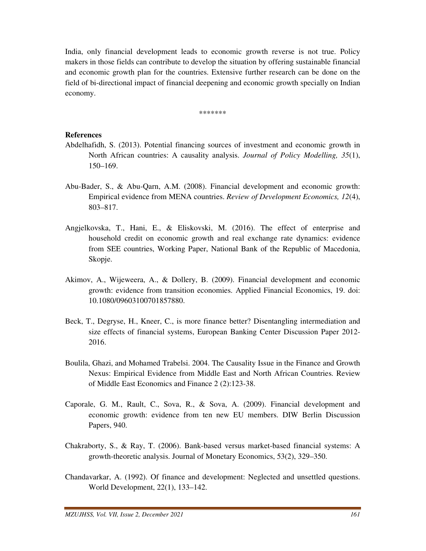India, only financial development leads to economic growth reverse is not true. Policy makers in those fields can contribute to develop the situation by offering sustainable financial and economic growth plan for the countries. Extensive further research can be done on the field of bi-directional impact of financial deepening and economic growth specially on Indian economy.

\*\*\*\*\*\*\*

# **References**

- Abdelhafidh, S. (2013). Potential financing sources of investment and economic growth in North African countries: A causality analysis. *Journal of Policy Modelling, 35*(1), 150–169.
- Abu-Bader, S., & Abu-Qarn, A.M. (2008). Financial development and economic growth: Empirical evidence from MENA countries. *Review of Development Economics, 12*(4), 803–817.
- Angjelkovska, T., Hani, E., & Eliskovski, M. (2016). The effect of enterprise and household credit on economic growth and real exchange rate dynamics: evidence from SEE countries, Working Paper, National Bank of the Republic of Macedonia, Skopje.
- Akimov, A., Wijeweera, A., & Dollery, B. (2009). Financial development and economic growth: evidence from transition economies. Applied Financial Economics, 19. doi: 10.1080/09603100701857880.
- Beck, T., Degryse, H., Kneer, C., is more finance better? Disentangling intermediation and size effects of financial systems, European Banking Center Discussion Paper 2012- 2016.
- Boulila, Ghazi, and Mohamed Trabelsi. 2004. The Causality Issue in the Finance and Growth Nexus: Empirical Evidence from Middle East and North African Countries. Review of Middle East Economics and Finance 2 (2):123-38.
- Caporale, G. M., Rault, C., Sova, R., & Sova, A. (2009). Financial development and economic growth: evidence from ten new EU members. DIW Berlin Discussion Papers, 940.
- Chakraborty, S., & Ray, T. (2006). Bank-based versus market-based financial systems: A growth-theoretic analysis. Journal of Monetary Economics, 53(2), 329–350.
- Chandavarkar, A. (1992). Of finance and development: Neglected and unsettled questions. World Development, 22(1), 133–142.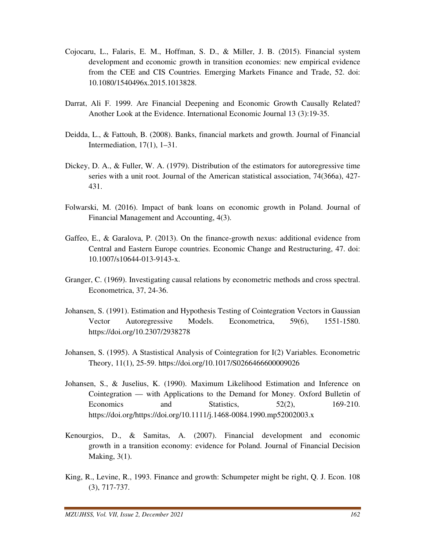- Cojocaru, L., Falaris, E. M., Hoffman, S. D., & Miller, J. B. (2015). Financial system development and economic growth in transition economies: new empirical evidence from the CEE and CIS Countries. Emerging Markets Finance and Trade, 52. doi: 10.1080/1540496x.2015.1013828.
- Darrat, Ali F. 1999. Are Financial Deepening and Economic Growth Causally Related? Another Look at the Evidence. International Economic Journal 13 (3):19-35.
- Deidda, L., & Fattouh, B. (2008). Banks, financial markets and growth. Journal of Financial Intermediation, 17(1), 1–31.
- Dickey, D. A., & Fuller, W. A. (1979). Distribution of the estimators for autoregressive time series with a unit root. Journal of the American statistical association, 74(366a), 427- 431.
- Folwarski, M. (2016). Impact of bank loans on economic growth in Poland. Journal of Financial Management and Accounting, 4(3).
- Gaffeo, E., & Garalova, P. (2013). On the finance-growth nexus: additional evidence from Central and Eastern Europe countries. Economic Change and Restructuring, 47. doi: 10.1007/s10644-013-9143-x.
- Granger, C. (1969). Investigating causal relations by econometric methods and cross spectral. Econometrica, 37, 24-36.
- Johansen, S. (1991). Estimation and Hypothesis Testing of Cointegration Vectors in Gaussian Vector Autoregressive Models. Econometrica, 59(6), 1551-1580. https://doi.org/10.2307/2938278
- Johansen, S. (1995). A Stastistical Analysis of Cointegration for I(2) Variables. Econometric Theory, 11(1), 25-59. https://doi.org/10.1017/S0266466600009026
- Johansen, S., & Juselius, K. (1990). Maximum Likelihood Estimation and Inference on Cointegration — with Applications to the Demand for Money. Oxford Bulletin of Economics and Statistics, 52(2), 169-210. https://doi.org/https://doi.org/10.1111/j.1468-0084.1990.mp52002003.x
- Kenourgios, D., & Samitas, A. (2007). Financial development and economic growth in a transition economy: evidence for Poland. Journal of Financial Decision Making, 3(1).
- King, R., Levine, R., 1993. Finance and growth: Schumpeter might be right, Q. J. Econ. 108 (3), 717-737.